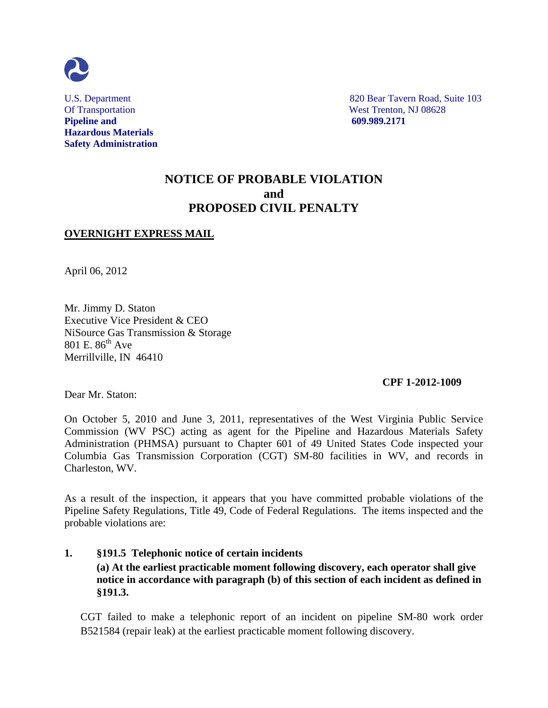

**Pipeline and 609.989.2171 Hazardous Materials Safety Administration**

U.S. Department 820 Bear Tavern Road, Suite 103 Of Transportation West Trenton, NJ 08628

# **NOTICE OF PROBABLE VIOLATION and PROPOSED CIVIL PENALTY**

# **OVERNIGHT EXPRESS MAIL**

April 06, 2012

Mr. Jimmy D. Staton Executive Vice President & CEO NiSource Gas Transmission & Storage 801 E.  $86^{th}$  Ave Merrillville, IN 46410

#### **CPF 1-2012-1009**

Dear Mr. Staton:

On October 5, 2010 and June 3, 2011, representatives of the West Virginia Public Service Commission (WV PSC) acting as agent for the Pipeline and Hazardous Materials Safety Administration (PHMSA) pursuant to Chapter 601 of 49 United States Code inspected your Columbia Gas Transmission Corporation (CGT) SM-80 facilities in WV, and records in Charleston, WV.

As a result of the inspection, it appears that you have committed probable violations of the Pipeline Safety Regulations, Title 49, Code of Federal Regulations. The items inspected and the probable violations are:

# **1. §191.5 Telephonic notice of certain incidents (a) At the earliest practicable moment following discovery, each operator shall give notice in accordance with paragraph (b) of this section of each incident as defined in §191.3.**

CGT failed to make a telephonic report of an incident on pipeline SM-80 work order B521584 (repair leak) at the earliest practicable moment following discovery.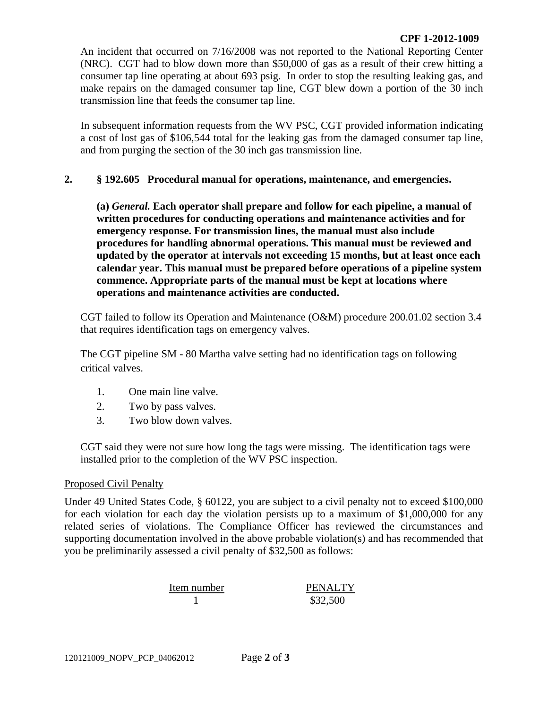An incident that occurred on 7/16/2008 was not reported to the National Reporting Center (NRC). CGT had to blow down more than \$50,000 of gas as a result of their crew hitting a consumer tap line operating at about 693 psig. In order to stop the resulting leaking gas, and make repairs on the damaged consumer tap line, CGT blew down a portion of the 30 inch transmission line that feeds the consumer tap line.

In subsequent information requests from the WV PSC, CGT provided information indicating a cost of lost gas of \$106,544 total for the leaking gas from the damaged consumer tap line, and from purging the section of the 30 inch gas transmission line.

## **2. § 192.605 Procedural manual for operations, maintenance, and emergencies.**

**(a)** *General.* **Each operator shall prepare and follow for each pipeline, a manual of written procedures for conducting operations and maintenance activities and for emergency response. For transmission lines, the manual must also include procedures for handling abnormal operations. This manual must be reviewed and updated by the operator at intervals not exceeding 15 months, but at least once each calendar year. This manual must be prepared before operations of a pipeline system commence. Appropriate parts of the manual must be kept at locations where operations and maintenance activities are conducted.**

CGT failed to follow its Operation and Maintenance (O&M) procedure 200.01.02 section 3.4 that requires identification tags on emergency valves.

The CGT pipeline SM - 80 Martha valve setting had no identification tags on following critical valves.

- 1. One main line valve.
- 2. Two by pass valves.
- 3. Two blow down valves.

CGT said they were not sure how long the tags were missing. The identification tags were installed prior to the completion of the WV PSC inspection.

### Proposed Civil Penalty

Under 49 United States Code, § 60122, you are subject to a civil penalty not to exceed \$100,000 for each violation for each day the violation persists up to a maximum of \$1,000,000 for any related series of violations. The Compliance Officer has reviewed the circumstances and supporting documentation involved in the above probable violation(s) and has recommended that you be preliminarily assessed a civil penalty of \$32,500 as follows:

Item number PENALTY 1 \$32,500